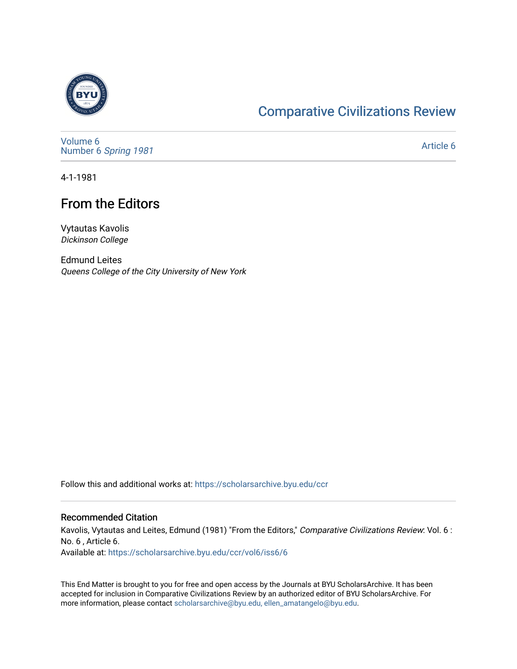

## [Comparative Civilizations Review](https://scholarsarchive.byu.edu/ccr)

[Volume 6](https://scholarsarchive.byu.edu/ccr/vol6) Number 6 [Spring 1981](https://scholarsarchive.byu.edu/ccr/vol6/iss6) 

[Article 6](https://scholarsarchive.byu.edu/ccr/vol6/iss6/6) 

4-1-1981

## From the Editors

Vytautas Kavolis Dickinson College

Edmund Leites Queens College of the City University of New York

Follow this and additional works at: [https://scholarsarchive.byu.edu/ccr](https://scholarsarchive.byu.edu/ccr?utm_source=scholarsarchive.byu.edu%2Fccr%2Fvol6%2Fiss6%2F6&utm_medium=PDF&utm_campaign=PDFCoverPages) 

## Recommended Citation

Kavolis, Vytautas and Leites, Edmund (1981) "From the Editors," Comparative Civilizations Review: Vol. 6 : No. 6 , Article 6. Available at: [https://scholarsarchive.byu.edu/ccr/vol6/iss6/6](https://scholarsarchive.byu.edu/ccr/vol6/iss6/6?utm_source=scholarsarchive.byu.edu%2Fccr%2Fvol6%2Fiss6%2F6&utm_medium=PDF&utm_campaign=PDFCoverPages) 

This End Matter is brought to you for free and open access by the Journals at BYU ScholarsArchive. It has been accepted for inclusion in Comparative Civilizations Review by an authorized editor of BYU ScholarsArchive. For more information, please contact [scholarsarchive@byu.edu, ellen\\_amatangelo@byu.edu.](mailto:scholarsarchive@byu.edu,%20ellen_amatangelo@byu.edu)